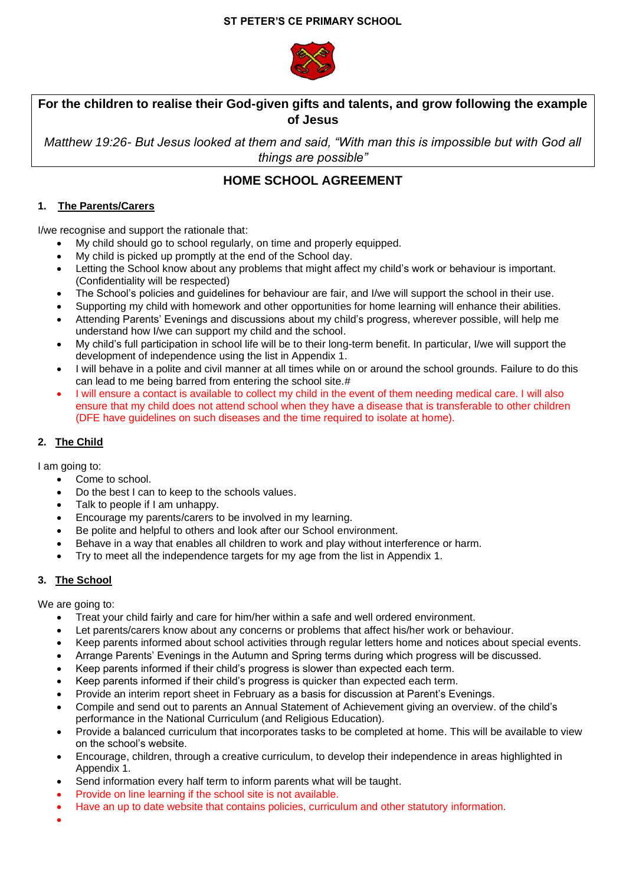

# **For the children to realise their God-given gifts and talents, and grow following the example of Jesus**

*Matthew 19:26- But Jesus looked at them and said, "With man this is impossible but with God all things are possible"* 

# **HOME SCHOOL AGREEMENT**

## **1. The Parents/Carers**

I/we recognise and support the rationale that:

- My child should go to school regularly, on time and properly equipped.
- My child is picked up promptly at the end of the School day.
- Letting the School know about any problems that might affect my child's work or behaviour is important. (Confidentiality will be respected)
- The School's policies and guidelines for behaviour are fair, and I/we will support the school in their use.
- Supporting my child with homework and other opportunities for home learning will enhance their abilities.
- Attending Parents' Evenings and discussions about my child's progress, wherever possible, will help me understand how I/we can support my child and the school.
- My child's full participation in school life will be to their long-term benefit. In particular, I/we will support the development of independence using the list in Appendix 1.
- I will behave in a polite and civil manner at all times while on or around the school grounds. Failure to do this can lead to me being barred from entering the school site.#
- I will ensure a contact is available to collect my child in the event of them needing medical care. I will also ensure that my child does not attend school when they have a disease that is transferable to other children (DFE have guidelines on such diseases and the time required to isolate at home).

## **2. The Child**

I am going to:

- Come to school.
- Do the best I can to keep to the schools values.
- Talk to people if I am unhappy.
- Encourage my parents/carers to be involved in my learning.
- Be polite and helpful to others and look after our School environment.
- Behave in a way that enables all children to work and play without interference or harm.
- Try to meet all the independence targets for my age from the list in Appendix 1.

### **3. The School**

We are going to:

- Treat your child fairly and care for him/her within a safe and well ordered environment.
- Let parents/carers know about any concerns or problems that affect his/her work or behaviour.
- Keep parents informed about school activities through regular letters home and notices about special events.
- Arrange Parents' Evenings in the Autumn and Spring terms during which progress will be discussed.
- Keep parents informed if their child's progress is slower than expected each term.
- Keep parents informed if their child's progress is quicker than expected each term.
- Provide an interim report sheet in February as a basis for discussion at Parent's Evenings.
- Compile and send out to parents an Annual Statement of Achievement giving an overview. of the child's performance in the National Curriculum (and Religious Education).
- Provide a balanced curriculum that incorporates tasks to be completed at home. This will be available to view on the school's website.
- Encourage, children, through a creative curriculum, to develop their independence in areas highlighted in Appendix 1.
- Send information every half term to inform parents what will be taught.
- Provide on line learning if the school site is not available.
- Have an up to date website that contains policies, curriculum and other statutory information.
- •